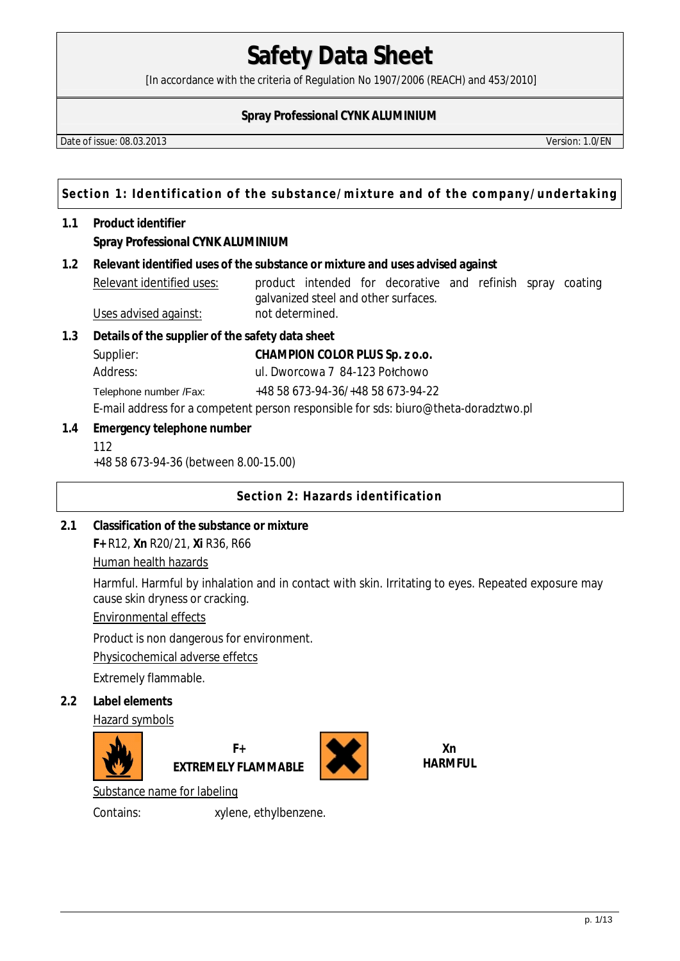[In accordance with the criteria of Regulation No 1907/2006 (REACH) and 453/2010]

## **Spray Professional CYNK ALUMINIUM**

Date of issue: 08.03.2013 Version: 1.0/EN

**Section 1: Identification of the substance/mixture and of the company/undertaking**

## **1.1 Product identifier Spray Professional CYNK ALUMINIUM**

**1.2 Relevant identified uses of the substance or mixture and uses advised against** 

Relevant identified uses: product intended for decorative and refinish spray coating galvanized steel and other surfaces. Uses advised against: not determined.

- **1.3 Details of the supplier of the safety data sheet** 
	- Supplier: **CHAMPION COLOR PLUS Sp. z o.o.**
	- Address: ul. Dworcowa 7 84-123 Połchowo
	- Telephone number /Fax: +48 58 673-94-36/+48 58 673-94-22

E-mail address for a competent person responsible for sds: biuro@theta-doradztwo.pl

- **1.4 Emergency telephone number**
	- 112

+48 58 673-94-36 (between 8.00-15.00)

**Section 2: Hazards identification** 

**2.1 Classification of the substance or mixture F+** R12, **Xn** R20/21, **Xi** R36, R66

Human health hazards

Harmful. Harmful by inhalation and in contact with skin. Irritating to eyes. Repeated exposure may cause skin dryness or cracking.

Environmental effects

Product is non dangerous for environment.

Physicochemical adverse effetcs

Extremely flammable.

**2.2 Label elements** 

Hazard symbols



**F+ EXTREMELY FLAMMABLE**



**Xn HARMFUL** 

Substance name for labeling

Contains: xylene, ethylbenzene.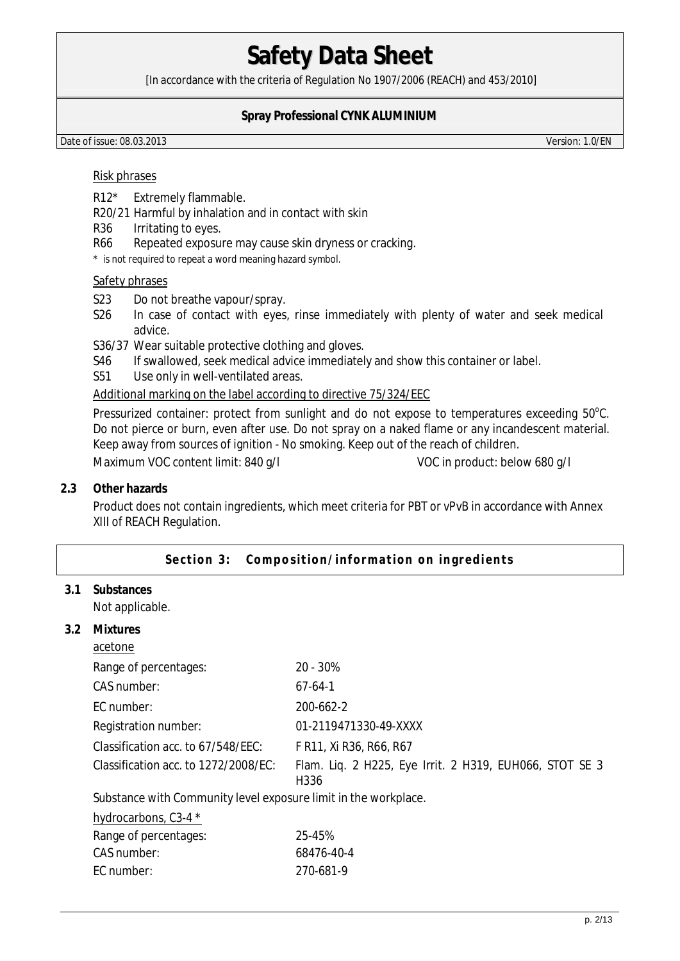[In accordance with the criteria of Regulation No 1907/2006 (REACH) and 453/2010]

### **Spray Professional CYNK ALUMINIUM**

Date of issue: 08.03.2013 Version: 1.0/EN

#### Risk phrases

- R12\* Extremely flammable.
- R20/21 Harmful by inhalation and in contact with skin
- R36 Irritating to eyes.
- R66 Repeated exposure may cause skin dryness or cracking.

\* is not required to repeat a word meaning hazard symbol.

#### Safety phrases

- S23 Do not breathe vapour/spray.
- S26 In case of contact with eyes, rinse immediately with plenty of water and seek medical advice.
- S36/37 Wear suitable protective clothing and gloves.
- S46 If swallowed, seek medical advice immediately and show this container or label.
- S51 Use only in well-ventilated areas.

#### Additional marking on the label according to directive 75/324/EEC

Pressurized container: protect from sunlight and do not expose to temperatures exceeding  $50^{\circ}$ C. Do not pierce or burn, even after use. Do not spray on a naked flame or any incandescent material. Keep away from sources of ignition - No smoking. Keep out of the reach of children.

Maximum VOC content limit: 840 g/l VOC in product: below 680 g/l

#### **2.3 Other hazards**

Product does not contain ingredients, which meet criteria for PBT or vPvB in accordance with Annex XIII of REACH Regulation.

#### Section 3: Composition/information on ingredients

**3.1 Substances**  Not applicable.

**3.2 Mixtures** 

| acetone                                                         |                                                                 |  |  |
|-----------------------------------------------------------------|-----------------------------------------------------------------|--|--|
| Range of percentages:                                           | $20 - 30%$                                                      |  |  |
| CAS number:                                                     | $67 - 64 - 1$                                                   |  |  |
| EC number:                                                      | 200-662-2                                                       |  |  |
| Registration number:                                            | 01-2119471330-49-XXXX                                           |  |  |
| Classification acc. to 67/548/EEC:                              | F R11, Xi R36, R66, R67                                         |  |  |
| Classification acc. to 1272/2008/EC:                            | Flam. Liq. 2 H225, Eye Irrit. 2 H319, EUH066, STOT SE 3<br>H336 |  |  |
| Substance with Community level exposure limit in the workplace. |                                                                 |  |  |
| hydrocarbons, C3-4 *                                            |                                                                 |  |  |
| Range of percentages:                                           | 25-45%                                                          |  |  |
| CAS number:                                                     | 68476-40-4                                                      |  |  |
| EC number:                                                      | 270-681-9                                                       |  |  |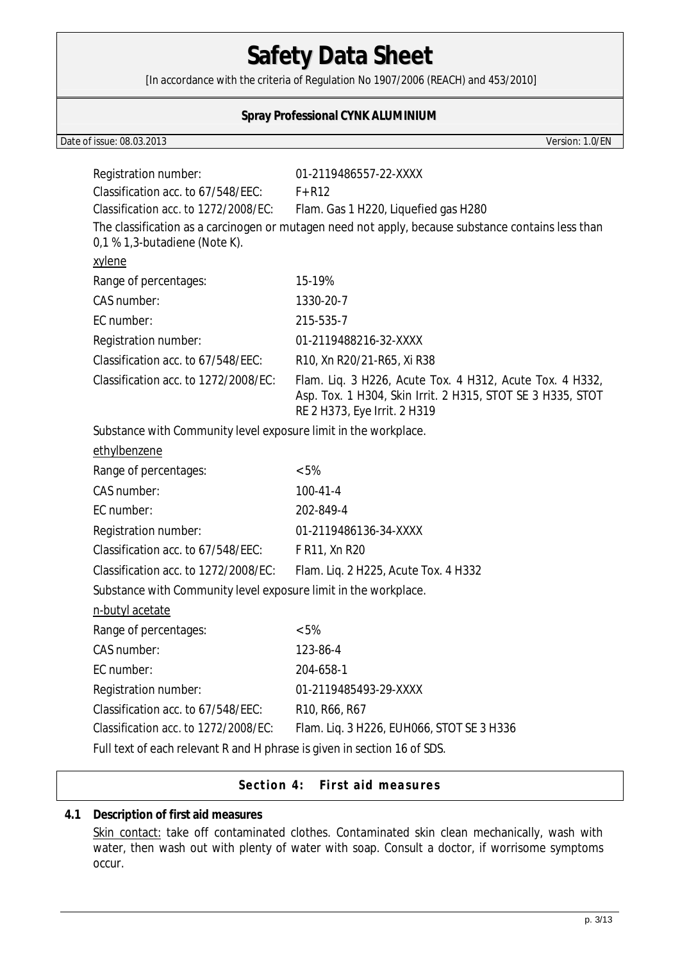[In accordance with the criteria of Regulation No 1907/2006 (REACH) and 453/2010]

### **Spray Professional CYNK ALUMINIUM**

Date of issue: 08.03.2013 Version: 1.0/EN

| Registration number:                                                     | 01-2119486557-22-XXXX                                                                                                  |  |  |
|--------------------------------------------------------------------------|------------------------------------------------------------------------------------------------------------------------|--|--|
| Classification acc. to 67/548/EEC:                                       | $F+R12$                                                                                                                |  |  |
| Classification acc. to 1272/2008/EC:                                     | Flam. Gas 1 H220, Liquefied gas H280                                                                                   |  |  |
|                                                                          | The classification as a carcinogen or mutagen need not apply, because substance contains less than                     |  |  |
| 0,1 % 1,3-butadiene (Note K).                                            |                                                                                                                        |  |  |
| xylene                                                                   |                                                                                                                        |  |  |
| Range of percentages:                                                    | 15-19%                                                                                                                 |  |  |
| CAS number:                                                              | 1330-20-7                                                                                                              |  |  |
| EC number:                                                               | 215-535-7                                                                                                              |  |  |
| Registration number:                                                     | 01-2119488216-32-XXXX                                                                                                  |  |  |
| Classification acc. to 67/548/EEC:                                       | R10, Xn R20/21-R65, Xi R38                                                                                             |  |  |
| Classification acc. to 1272/2008/EC:                                     | Flam. Liq. 3 H226, Acute Tox. 4 H312, Acute Tox. 4 H332,<br>Asp. Tox. 1 H304, Skin Irrit. 2 H315, STOT SE 3 H335, STOT |  |  |
|                                                                          | RE 2 H373, Eye Irrit. 2 H319                                                                                           |  |  |
| Substance with Community level exposure limit in the workplace.          |                                                                                                                        |  |  |
| ethylbenzene                                                             |                                                                                                                        |  |  |
| Range of percentages:                                                    | $< 5\%$                                                                                                                |  |  |
| CAS number:                                                              | $100 - 41 - 4$                                                                                                         |  |  |
| EC number:                                                               | 202-849-4                                                                                                              |  |  |
| Registration number:                                                     | 01-2119486136-34-XXXX                                                                                                  |  |  |
| Classification acc. to 67/548/EEC:                                       | F R11, Xn R20                                                                                                          |  |  |
| Classification acc. to 1272/2008/EC:                                     | Flam. Liq. 2 H225, Acute Tox. 4 H332                                                                                   |  |  |
| Substance with Community level exposure limit in the workplace.          |                                                                                                                        |  |  |
| n-butyl acetate                                                          |                                                                                                                        |  |  |
| Range of percentages:                                                    | $< 5\%$                                                                                                                |  |  |
| CAS number:                                                              | 123-86-4                                                                                                               |  |  |
| EC number:                                                               | 204-658-1                                                                                                              |  |  |
| Registration number:                                                     | 01-2119485493-29-XXXX                                                                                                  |  |  |
| Classification acc. to 67/548/EEC:                                       | R <sub>10</sub> , R <sub>66</sub> , R <sub>67</sub>                                                                    |  |  |
| Classification acc. to 1272/2008/EC:                                     | Flam. Liq. 3 H226, EUH066, STOT SE 3 H336                                                                              |  |  |
| Full text of each relevant R and H phrase is given in section 16 of SDS. |                                                                                                                        |  |  |

Section 4: First aid measures

### **4.1 Description of first aid measures**

Skin contact: take off contaminated clothes. Contaminated skin clean mechanically, wash with water, then wash out with plenty of water with soap. Consult a doctor, if worrisome symptoms occur.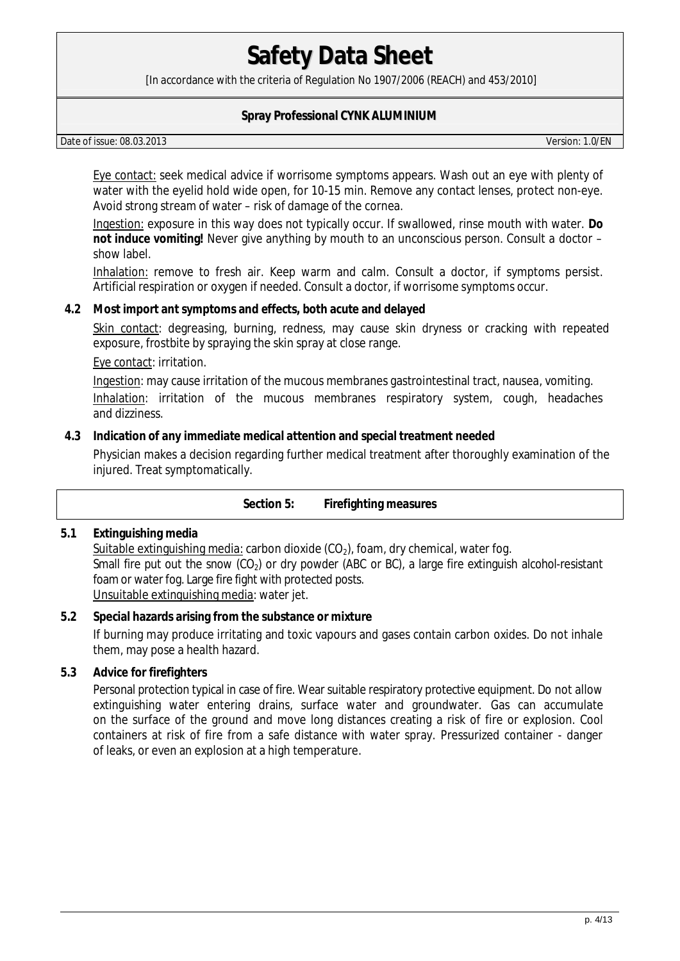[In accordance with the criteria of Regulation No 1907/2006 (REACH) and 453/2010]

### **Spray Professional CYNK ALUMINIUM**

Date of issue: 08.03.2013 Version: 1.0/EN

Eye contact: seek medical advice if worrisome symptoms appears. Wash out an eye with plenty of water with the eyelid hold wide open, for 10-15 min. Remove any contact lenses, protect non-eye. Avoid strong stream of water – risk of damage of the cornea.

Ingestion: exposure in this way does not typically occur. If swallowed, rinse mouth with water. **Do not induce vomiting!** Never give anything by mouth to an unconscious person. Consult a doctor – show label.

Inhalation: remove to fresh air. Keep warm and calm. Consult a doctor, if symptoms persist. Artificial respiration or oxygen if needed. Consult a doctor, if worrisome symptoms occur.

**4.2 Most import ant symptoms and effects, both acute and delayed** 

Skin contact: degreasing, burning, redness, may cause skin dryness or cracking with repeated exposure, frostbite by spraying the skin spray at close range.

Eye contact: irritation.

Ingestion: may cause irritation of the mucous membranes gastrointestinal tract, nausea, vomiting. Inhalation: irritation of the mucous membranes respiratory system, cough, headaches and dizziness.

### **4.3 Indication of any immediate medical attention and special treatment needed**

Physician makes a decision regarding further medical treatment after thoroughly examination of the injured. Treat symptomatically.

|     | Firefighting measures<br>Section 5:                                                                                                                                                                                                                                                    |
|-----|----------------------------------------------------------------------------------------------------------------------------------------------------------------------------------------------------------------------------------------------------------------------------------------|
| 5.1 | Extinguishing media<br>Suitable extinguishing media: carbon dioxide $(CO2)$ , foam, dry chemical, water fog.<br>Small fire put out the snow $(CO_2)$ or dry powder (ABC or BC), a large fire extinguish alcohol-resistant<br>foam or water fog. Large fire fight with protected posts. |

Unsuitable extinguishing media: water jet.

## **5.2 Special hazards arising from the substance or mixture**  If burning may produce irritating and toxic vapours and gases contain carbon oxides. Do not inhale them, may pose a health hazard.

**5.3 Advice for firefighters** 

Personal protection typical in case of fire. Wear suitable respiratory protective equipment. Do not allow extinguishing water entering drains, surface water and groundwater. Gas can accumulate on the surface of the ground and move long distances creating a risk of fire or explosion. Cool containers at risk of fire from a safe distance with water spray. Pressurized container - danger of leaks, or even an explosion at a high temperature.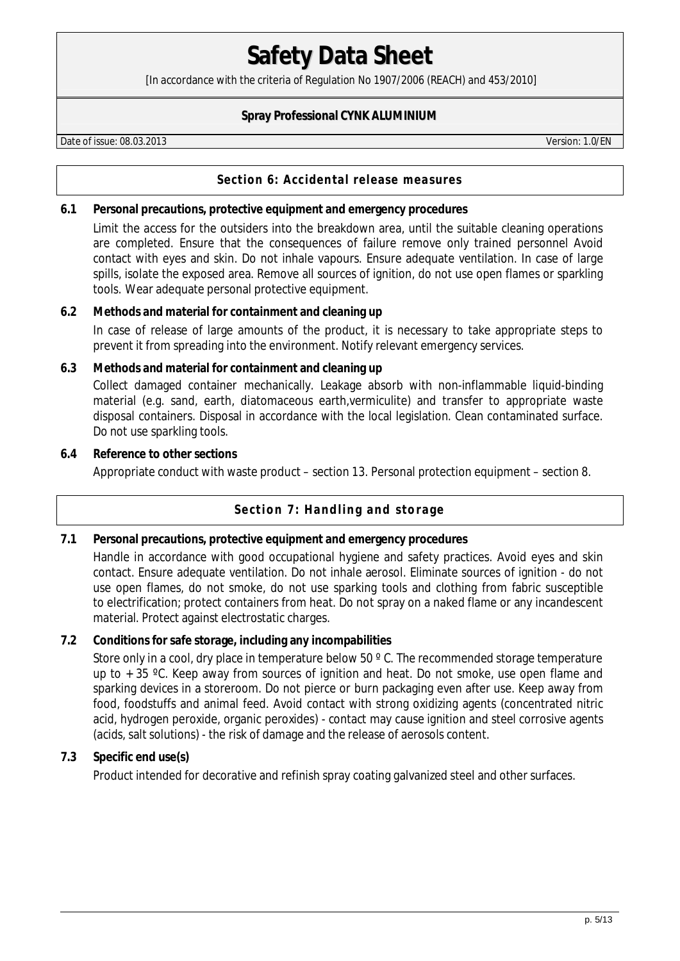[In accordance with the criteria of Regulation No 1907/2006 (REACH) and 453/2010]

### **Spray Professional CYNK ALUMINIUM**

Date of issue: 08.03.2013 Version: 1.0/EN

### **Section 6: Accidental release measures**

**6.1 Personal precautions, protective equipment and emergency procedures** 

Limit the access for the outsiders into the breakdown area, until the suitable cleaning operations are completed. Ensure that the consequences of failure remove only trained personnel Avoid contact with eyes and skin. Do not inhale vapours. Ensure adequate ventilation. In case of large spills, isolate the exposed area. Remove all sources of ignition, do not use open flames or sparkling tools. Wear adequate personal protective equipment.

#### **6.2 Methods and material for containment and cleaning up**

In case of release of large amounts of the product, it is necessary to take appropriate steps to prevent it from spreading into the environment. Notify relevant emergency services.

- **6.3 Methods and material for containment and cleaning up** Collect damaged container mechanically. Leakage absorb with non-inflammable liquid-binding material (e.g. sand, earth, diatomaceous earth,vermiculite) and transfer to appropriate waste disposal containers. Disposal in accordance with the local legislation. Clean contaminated surface. Do not use sparkling tools.
- **6.4 Reference to other sections** Appropriate conduct with waste product – section 13. Personal protection equipment – section 8.

## **Section 7: Handling and storage**

**7.1 Personal precautions, protective equipment and emergency procedures**  Handle in accordance with good occupational hygiene and safety practices. Avoid eyes and skin contact. Ensure adequate ventilation. Do not inhale aerosol. Eliminate sources of ignition - do not use open flames, do not smoke, do not use sparking tools and clothing from fabric susceptible to electrification; protect containers from heat. Do not spray on a naked flame or any incandescent material. Protect against electrostatic charges.

#### **7.2 Conditions for safe storage, including any incompabilities**

Store only in a cool, dry place in temperature below 50 °C. The recommended storage temperature up to  $+35$  °C. Keep away from sources of ignition and heat. Do not smoke, use open flame and sparking devices in a storeroom. Do not pierce or burn packaging even after use. Keep away from food, foodstuffs and animal feed. Avoid contact with strong oxidizing agents (concentrated nitric acid, hydrogen peroxide, organic peroxides) - contact may cause ignition and steel corrosive agents (acids, salt solutions) - the risk of damage and the release of aerosols content.

## **7.3 Specific end use(s)**

Product intended for decorative and refinish spray coating galvanized steel and other surfaces.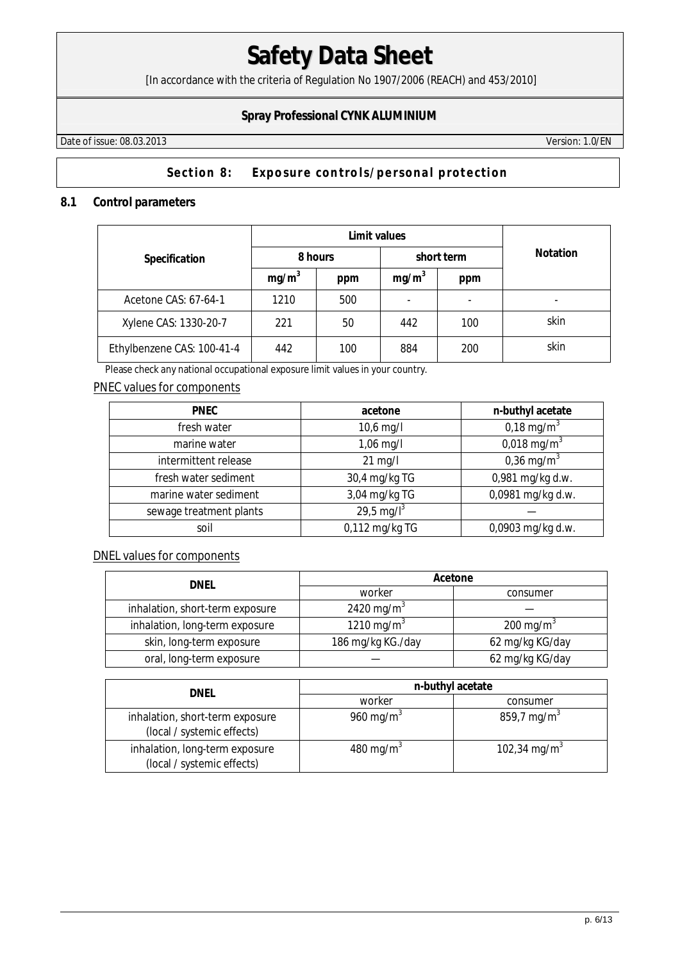[In accordance with the criteria of Regulation No 1907/2006 (REACH) and 453/2010]

## **Spray Professional CYNK ALUMINIUM**

Date of issue: 08.03.2013 Version: 1.0/EN

## Section 8: Exposure controls/personal protection

#### **8.1 Control parameters**

|                            | Limit values      |     |                   |     |                 |
|----------------------------|-------------------|-----|-------------------|-----|-----------------|
| Specification              | 8 hours           |     | short term        |     | <b>Notation</b> |
|                            | mg/m <sup>3</sup> | ppm | mg/m <sup>3</sup> | ppm |                 |
| Acetone CAS: 67-64-1       | 1210              | 500 |                   |     |                 |
| Xylene CAS: 1330-20-7      | 221               | 50  | 442               | 100 | skin            |
| Ethylbenzene CAS: 100-41-4 | 442               | 100 | 884               | 200 | skin            |

Please check any national occupational exposure limit values in your country.

### PNEC values for components

| <b>PNEC</b>             | acetone                | n-buthyl acetate        |
|-------------------------|------------------------|-------------------------|
| fresh water             | $10,6$ mg/l            | 0,18 mg/m <sup>3</sup>  |
| marine water            | 1,06 mg/l              | 0,018 mg/m <sup>3</sup> |
| intermittent release    | $21$ mg/l              | 0,36 mg/m <sup>3</sup>  |
| fresh water sediment    | 30,4 mg/kg TG          | 0,981 mg/kg d.w.        |
| marine water sediment   | 3,04 mg/kg TG          | 0,0981 mg/kg d.w.       |
| sewage treatment plants | 29,5 mg/l <sup>3</sup> |                         |
| soil                    | 0,112 mg/kg TG         | 0,0903 mg/kg d.w.       |

DNEL values for components

| dnel                            | Acetone                |                       |  |
|---------------------------------|------------------------|-----------------------|--|
|                                 | worker                 | consumer              |  |
| inhalation, short-term exposure | 2420 mg/m <sup>3</sup> |                       |  |
| inhalation, long-term exposure  | 1210 mg/m <sup>3</sup> | 200 mg/m <sup>3</sup> |  |
| skin, long-term exposure        | 186 mg/kg KG./day      | 62 mg/kg KG/day       |  |
| oral, long-term exposure        |                        | 62 mg/kg KG/day       |  |

| DNEL                                                          | n-buthyl acetate      |                          |  |
|---------------------------------------------------------------|-----------------------|--------------------------|--|
|                                                               | worker                | consumer                 |  |
| inhalation, short-term exposure<br>(local / systemic effects) | 960 mg/m <sup>3</sup> | 859,7 mg/m <sup>3</sup>  |  |
| inhalation, long-term exposure<br>(local / systemic effects)  | 480 mg/m <sup>3</sup> | 102,34 mg/m <sup>3</sup> |  |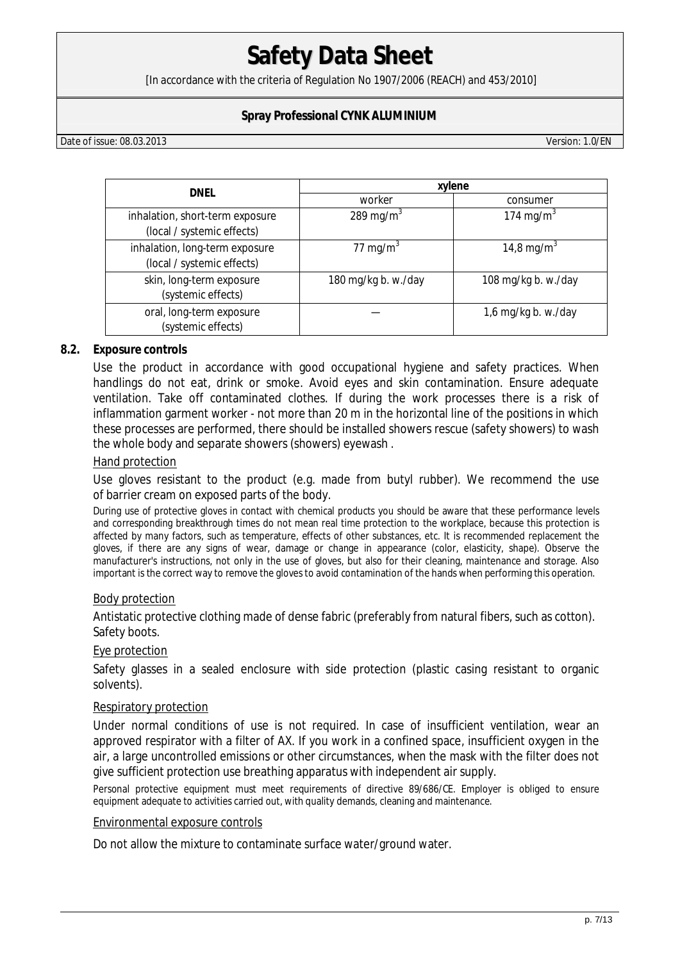[In accordance with the criteria of Regulation No 1907/2006 (REACH) and 453/2010]

### **Spray Professional CYNK ALUMINIUM**

Date of issue: 08.03.2013 Version: 1.0/EN

| <b>DNEL</b>                                                   | xylene              |                        |  |
|---------------------------------------------------------------|---------------------|------------------------|--|
|                                                               | worker              | consumer               |  |
| inhalation, short-term exposure<br>(local / systemic effects) | 289 mg/m $3$        | 174 mg/m <sup>3</sup>  |  |
| inhalation, long-term exposure<br>(local / systemic effects)  | 77 mg/m $3$         | 14,8 mg/m <sup>3</sup> |  |
| skin, long-term exposure<br>(systemic effects)                | 180 mg/kg b. w./day | 108 mg/kg b. w./day    |  |
| oral, long-term exposure<br>(systemic effects)                |                     | 1,6 mg/kg b. w./day    |  |

#### **8.2. Exposure controls**

Use the product in accordance with good occupational hygiene and safety practices. When handlings do not eat, drink or smoke. Avoid eyes and skin contamination. Ensure adequate ventilation. Take off contaminated clothes. If during the work processes there is a risk of inflammation garment worker - not more than 20 m in the horizontal line of the positions in which these processes are performed, there should be installed showers rescue (safety showers) to wash the whole body and separate showers (showers) eyewash .

#### Hand protection

Use gloves resistant to the product (e.g. made from butyl rubber). We recommend the use of barrier cream on exposed parts of the body.

During use of protective gloves in contact with chemical products you should be aware that these performance levels and corresponding breakthrough times do not mean real time protection to the workplace, because this protection is affected by many factors, such as temperature, effects of other substances, etc. It is recommended replacement the gloves, if there are any signs of wear, damage or change in appearance (color, elasticity, shape). Observe the manufacturer's instructions, not only in the use of gloves, but also for their cleaning, maintenance and storage. Also important is the correct way to remove the gloves to avoid contamination of the hands when performing this operation.

#### Body protection

Antistatic protective clothing made of dense fabric (preferably from natural fibers, such as cotton). Safety boots.

#### Eye protection

Safety glasses in a sealed enclosure with side protection (plastic casing resistant to organic solvents).

#### Respiratory protection

Under normal conditions of use is not required. In case of insufficient ventilation, wear an approved respirator with a filter of AX. If you work in a confined space, insufficient oxygen in the air, a large uncontrolled emissions or other circumstances, when the mask with the filter does not give sufficient protection use breathing apparatus with independent air supply.

Personal protective equipment must meet requirements of directive 89/686/CE. Employer is obliged to ensure equipment adequate to activities carried out, with quality demands, cleaning and maintenance.

#### Environmental exposure controls

Do not allow the mixture to contaminate surface water/ground water.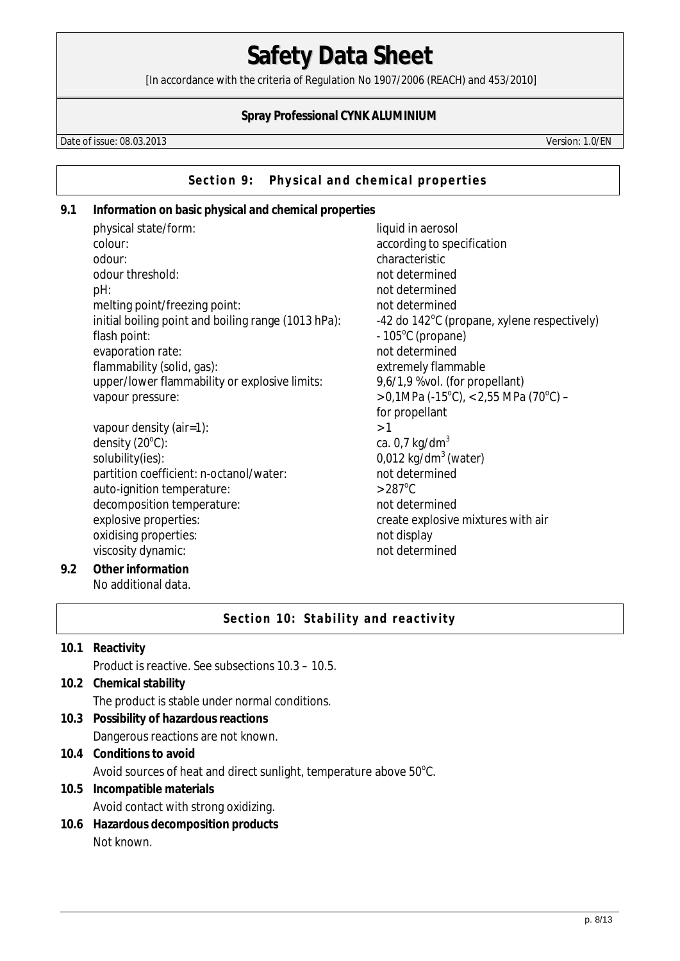[In accordance with the criteria of Regulation No 1907/2006 (REACH) and 453/2010]

### **Spray Professional CYNK ALUMINIUM**

Date of issue: 08.03.2013 Version: 1.0/EN

Section 9: Physical and chemical properties

**9.1 Information on basic physical and chemical properties**  physical state/form: liquid in aerosol colour:  $\alpha$  according to specification odour: characteristic odour threshold: example a state of the short of the short determined pH: not determined melting point/freezing point: not determined initial boiling point and boiling range (1013 hPa): -42 do 142<sup>o</sup>C (propane, xylene respectively) flash point:  $-105^{\circ}$ C (propane) evaporation rate: not determined flammability (solid, gas): extremely flammable upper/lower flammability or explosive limits: 9,6/1,9 %vol. (for propellant) vapour pressure:  $(C)$ , < 2,55 MPa (70<sup>o</sup>C) – for propellant vapour density (air=1):  $>1$ density  $(20^{\circ}C)$ : ca.  $0.7$  kg/dm<sup>3</sup> solubility(ies): 0,012 kg/dm<sup>3</sup> (water) partition coefficient: n-octanol/water: not determined auto-ignition temperature:  $>287^{\circ}$ C decomposition temperature: not determined explosive properties:<br>  $\blacksquare$ oxidising properties: not display viscosity dynamic: not determined **9.2 Other information**  No additional data.

## **Section 10: Stability and reactivity**

- **10.1 Reactivity**  Product is reactive. See subsections 10.3 – 10.5. **10.2 Chemical stability**  The product is stable under normal conditions. **10.3 Possibility of hazardous reactions**  Dangerous reactions are not known. **10.4 Conditions to avoid** 
	- Avoid sources of heat and direct sunlight, temperature above  $50^{\circ}$ C.
- **10.5 Incompatible materials**  Avoid contact with strong oxidizing.
- **10.6 Hazardous decomposition products**  Not known.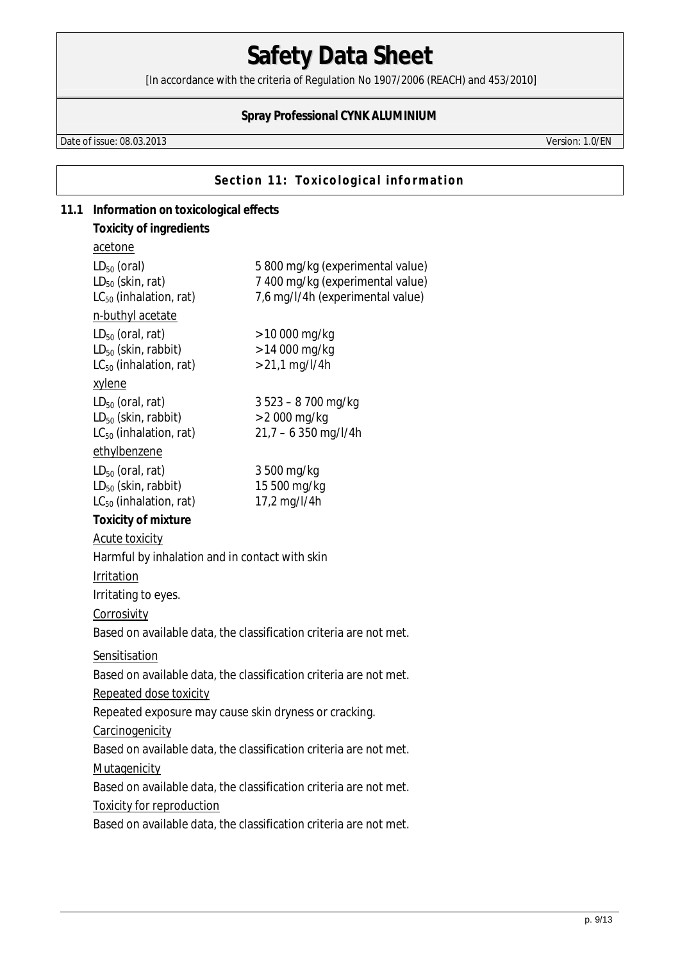[In accordance with the criteria of Regulation No 1907/2006 (REACH) and 453/2010]

## **Spray Professional CYNK ALUMINIUM**

Date of issue: 08.03.2013 Version: 1.0/EN

**Section 11: Toxicological information** 

| 11.1 | Information on toxicological effects                                                                                |                                                                                                          |  |
|------|---------------------------------------------------------------------------------------------------------------------|----------------------------------------------------------------------------------------------------------|--|
|      | Toxicity of ingredients                                                                                             |                                                                                                          |  |
|      | acetone                                                                                                             |                                                                                                          |  |
|      | $LD_{50}$ (oral)<br>$LD_{50}$ (skin, rat)<br>$LC_{50}$ (inhalation, rat)                                            | 5 800 mg/kg (experimental value)<br>7 400 mg/kg (experimental value)<br>7,6 mg/l/4h (experimental value) |  |
|      | n-buthyl acetate                                                                                                    |                                                                                                          |  |
|      | $LD_{50}$ (oral, rat)<br>$LD_{50}$ (skin, rabbit)<br>LC <sub>50</sub> (inhalation, rat)                             | $> 10000$ mg/kg<br>$> 14000$ mg/kg<br>$> 21.1$ mg/l/4h                                                   |  |
|      | xylene<br>$LD_{50}$ (oral, rat)<br>$LD_{50}$ (skin, rabbit)<br>$LC_{50}$ (inhalation, rat)<br>ethylbenzene          | $3523 - 8700$ mg/kg<br>$> 2000$ mg/kg<br>$21,7 - 6350$ mg/l/4h                                           |  |
|      | $LD_{50}$ (oral, rat)<br>$LD_{50}$ (skin, rabbit)<br>$LC_{50}$ (inhalation, rat)                                    | 3 500 mg/kg<br>15 500 mg/kg<br>17,2 mg/l/4h                                                              |  |
|      | Toxicity of mixture<br><b>Acute toxicity</b><br>Harmful by inhalation and in contact with skin<br>Irritation        |                                                                                                          |  |
|      | Irritating to eyes.<br>Corrosivity                                                                                  |                                                                                                          |  |
|      |                                                                                                                     | Based on available data, the classification criteria are not met.                                        |  |
|      | Sensitisation<br>Based on available data, the classification criteria are not met.<br><b>Repeated dose toxicity</b> |                                                                                                          |  |
|      | Repeated exposure may cause skin dryness or cracking.                                                               |                                                                                                          |  |
|      | Carcinogenicity                                                                                                     |                                                                                                          |  |
|      |                                                                                                                     | Based on available data, the classification criteria are not met.                                        |  |
|      | Mutagenicity                                                                                                        |                                                                                                          |  |
|      |                                                                                                                     | Based on available data, the classification criteria are not met.                                        |  |
|      | <b>Toxicity for reproduction</b>                                                                                    |                                                                                                          |  |
|      |                                                                                                                     | Based on available data, the classification criteria are not met.                                        |  |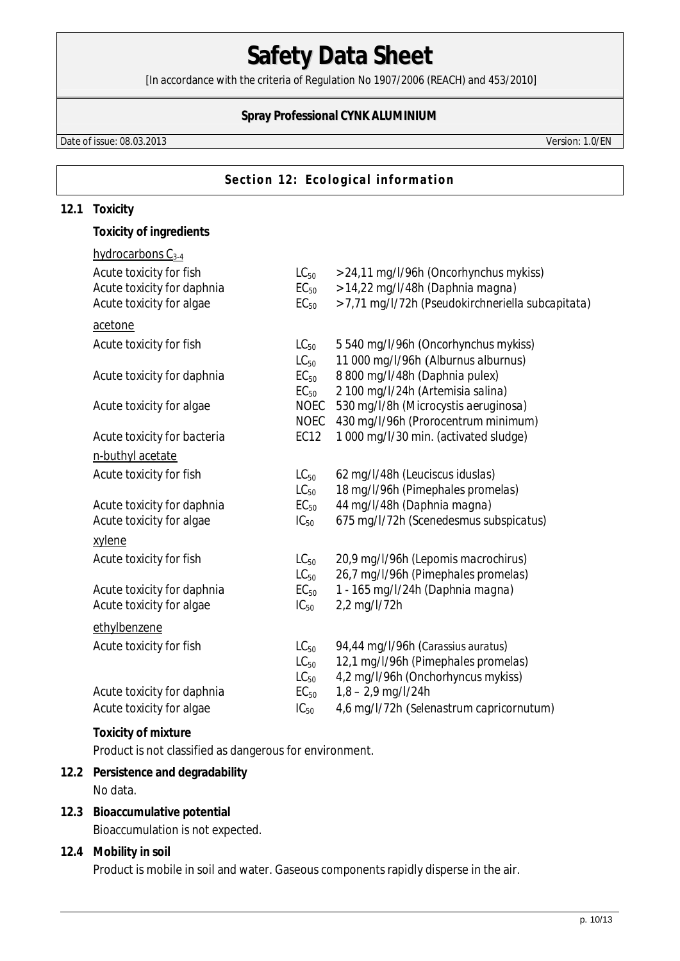[In accordance with the criteria of Regulation No 1907/2006 (REACH) and 453/2010]

## **Spray Professional CYNK ALUMINIUM**

Date of issue: 08.03.2013 Version: 1.0/EN

### **Section 12: Ecological information**

#### **12.1 Toxicity**

**Toxicity of ingredients** 

| hydrocarbons $C_{3-4}$      |             |                                                   |
|-----------------------------|-------------|---------------------------------------------------|
| Acute toxicity for fish     | $LC_{50}$   | > 24,11 mg/l/96h (Oncorhynchus mykiss)            |
| Acute toxicity for daphnia  | $EC_{50}$   | > 14,22 mg/l/48h (Daphnia magna)                  |
| Acute toxicity for algae    | $EC_{50}$   | > 7,71 mg/l/72h (Pseudokirchneriella subcapitata) |
|                             |             |                                                   |
| acetone                     |             |                                                   |
| Acute toxicity for fish     | $LC_{50}$   | 5 540 mg/l/96h (Oncorhynchus mykiss)              |
|                             | $LC_{50}$   | 11 000 mg/l/96h (Alburnus alburnus)               |
| Acute toxicity for daphnia  | $EC_{50}$   | 8 800 mg/l/48h (Daphnia pulex)                    |
|                             | $EC_{50}$   | 2 100 mg/l/24h (Artemisia salina)                 |
| Acute toxicity for algae    | <b>NOEC</b> | 530 mg/l/8h (Microcystis aeruginosa)              |
|                             | <b>NOEC</b> | 430 mg/l/96h (Prorocentrum minimum)               |
| Acute toxicity for bacteria | EC12        | 1 000 mg/l/30 min. (activated sludge)             |
|                             |             |                                                   |
| n-buthyl acetate            |             |                                                   |
| Acute toxicity for fish     | $LC_{50}$   | 62 mg/l/48h (Leuciscus iduslas)                   |
|                             | $LC_{50}$   | 18 mg/l/96h (Pimephales promelas)                 |
| Acute toxicity for daphnia  | $EC_{50}$   | 44 mg/l/48h (Daphnia magna)                       |
| Acute toxicity for algae    | $IC_{50}$   | 675 mg/l/72h (Scenedesmus subspicatus)            |
| xylene                      |             |                                                   |
| Acute toxicity for fish     | $LC_{50}$   | 20,9 mg/l/96h (Lepomis macrochirus)               |
|                             | $LC_{50}$   | 26,7 mg/l/96h (Pimephales promelas)               |
| Acute toxicity for daphnia  | $EC_{50}$   | 1 - 165 mg/l/24h (Daphnia magna)                  |
| Acute toxicity for algae    | $IC_{50}$   | 2,2 mg/l/72h                                      |
|                             |             |                                                   |
| ethylbenzene                |             |                                                   |
| Acute toxicity for fish     | $LC_{50}$   | 94,44 mg/l/96h (Carassius auratus)                |
|                             | $LC_{50}$   | 12,1 mg/l/96h (Pimephales promelas)               |
|                             | $LC_{50}$   | 4,2 mg/l/96h (Onchorhyncus mykiss)                |
| Acute toxicity for daphnia  | $EC_{50}$   | $1,8 - 2,9$ mg/l/24h                              |
| Acute toxicity for algae    | $IC_{50}$   | 4,6 mg/l/72h (Selenastrum capricornutum)          |
|                             |             |                                                   |
| Toxicity of mixture         |             |                                                   |

Product is not classified as dangerous for environment.

## **12.2 Persistence and degradability**  No data.

**12.3 Bioaccumulative potential**  Bioaccumulation is not expected.

## **12.4 Mobility in soil**  Product is mobile in soil and water. Gaseous components rapidly disperse in the air.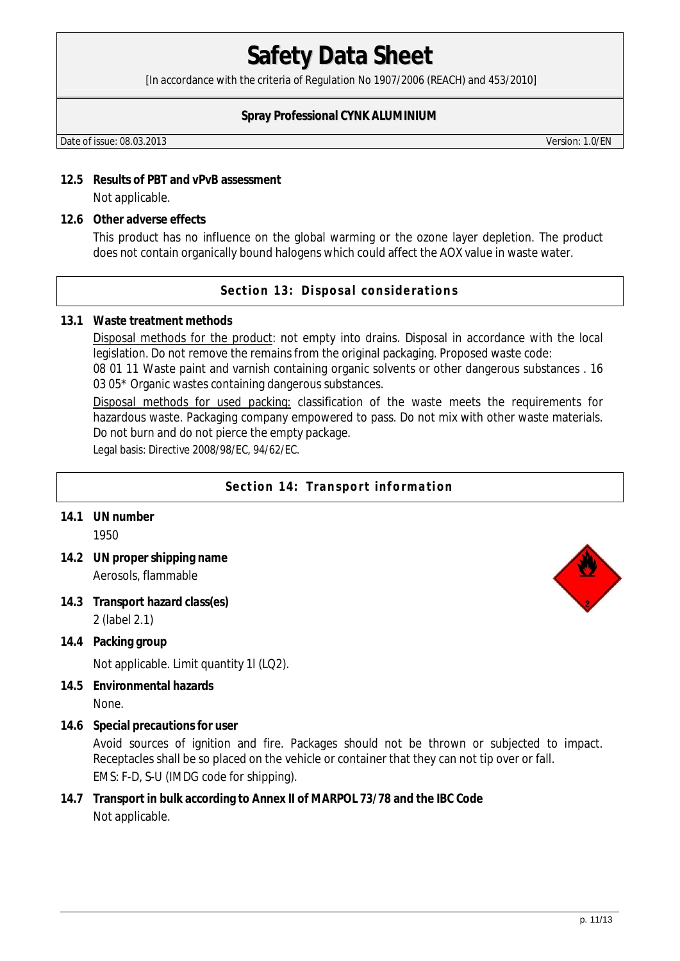[In accordance with the criteria of Regulation No 1907/2006 (REACH) and 453/2010]

### **Spray Professional CYNK ALUMINIUM**

Date of issue: 08.03.2013 Version: 1.0/EN

- **12.5 Results of PBT and vPvB assessment**  Not applicable.
- **12.6 Other adverse effects**

This product has no influence on the global warming or the ozone layer depletion. The product does not contain organically bound halogens which could affect the AOX value in waste water.

**Section 13: Disposal considerations** 

#### **13.1 Waste treatment methods**

Disposal methods for the product: not empty into drains. Disposal in accordance with the local legislation. Do not remove the remains from the original packaging. Proposed waste code:

08 01 11 Waste paint and varnish containing organic solvents or other dangerous substances . 16 03 05\* Organic wastes containing dangerous substances.

Disposal methods for used packing: classification of the waste meets the requirements for hazardous waste. Packaging company empowered to pass. Do not mix with other waste materials. Do not burn and do not pierce the empty package.

Legal basis: Directive 2008/98/EC, 94/62/EC.

- **Section 14: Transport information**
- **14.1 UN number** 1950
- **14.2 UN proper shipping name**  Aerosols, flammable
- **14.3 Transport hazard class(es)**  2 (label 2.1)
- **14.4 Packing group**

Not applicable. Limit quantity 1l (LQ2).

- **14.5 Environmental hazards**  None.
- **14.6 Special precautions for user**

Avoid sources of ignition and fire. Packages should not be thrown or subjected to impact. Receptacles shall be so placed on the vehicle or container that they can not tip over or fall. EMS: F-D, S-U (IMDG code for shipping).

**14.7 Transport in bulk according to Annex II of MARPOL 73/78 and the IBC Code**  Not applicable.

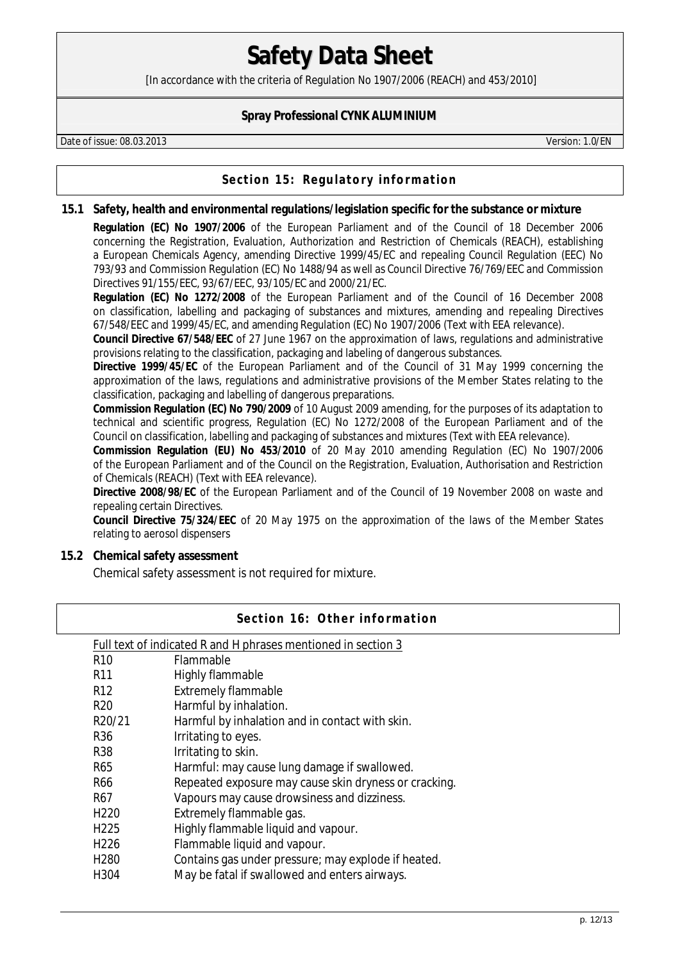[In accordance with the criteria of Regulation No 1907/2006 (REACH) and 453/2010]

### **Spray Professional CYNK ALUMINIUM**

Date of issue: 08.03.2013 Version: 1.0/EN

## **Section 15: Regulatory information**

**15.1 Safety, health and environmental regulations/legislation specific for the substance or mixture** 

**Regulation (EC) No 1907/2006** of the European Parliament and of the Council of 18 December 2006 concerning the Registration, Evaluation, Authorization and Restriction of Chemicals (REACH), establishing a European Chemicals Agency, amending Directive 1999/45/EC and repealing Council Regulation (EEC) No 793/93 and Commission Regulation (EC) No 1488/94 as well as Council Directive 76/769/EEC and Commission Directives 91/155/EEC, 93/67/EEC, 93/105/EC and 2000/21/EC.

**Regulation (EC) No 1272/2008** of the European Parliament and of the Council of 16 December 2008 on classification, labelling and packaging of substances and mixtures, amending and repealing Directives 67/548/EEC and 1999/45/EC, and amending Regulation (EC) No 1907/2006 (Text with EEA relevance).

**Council Directive 67/548/EEC** of 27 June 1967 on the approximation of laws, regulations and administrative provisions relating to the classification, packaging and labeling of dangerous substances.

**Directive 1999/45/EC** of the European Parliament and of the Council of 31 May 1999 concerning the approximation of the laws, regulations and administrative provisions of the Member States relating to the classification, packaging and labelling of dangerous preparations.

**Commission Regulation (EC) No 790/2009** of 10 August 2009 amending, for the purposes of its adaptation to technical and scientific progress, Regulation (EC) No 1272/2008 of the European Parliament and of the Council on classification, labelling and packaging of substances and mixtures (Text with EEA relevance).

**Commission Regulation (EU) No 453/2010** of 20 May 2010 amending Regulation (EC) No 1907/2006 of the European Parliament and of the Council on the Registration, Evaluation, Authorisation and Restriction of Chemicals (REACH) (Text with EEA relevance).

**Directive 2008/98/EC** of the European Parliament and of the Council of 19 November 2008 on waste and repealing certain Directives.

**Council Directive 75/324/EEC** of 20 May 1975 on the approximation of the laws of the Member States relating to aerosol dispensers

**15.2 Chemical safety assessment** 

Chemical safety assessment is not required for mixture.

| Section 16: Other information |                                                               |  |  |
|-------------------------------|---------------------------------------------------------------|--|--|
|                               | Full text of indicated R and H phrases mentioned in section 3 |  |  |
| R <sub>10</sub>               | <b>Flammable</b>                                              |  |  |
| R <sub>11</sub>               | Highly flammable                                              |  |  |
| R <sub>12</sub>               | <b>Extremely flammable</b>                                    |  |  |
| R <sub>20</sub>               | Harmful by inhalation.                                        |  |  |
| R <sub>20</sub> /21           | Harmful by inhalation and in contact with skin.               |  |  |
| R <sub>36</sub>               | Irritating to eyes.                                           |  |  |
| <b>R38</b>                    | Irritating to skin.                                           |  |  |
| R65                           | Harmful: may cause lung damage if swallowed.                  |  |  |
| R66                           | Repeated exposure may cause skin dryness or cracking.         |  |  |
| R67                           | Vapours may cause drowsiness and dizziness.                   |  |  |
| H <sub>220</sub>              | Extremely flammable gas.                                      |  |  |
| H <sub>225</sub>              | Highly flammable liquid and vapour.                           |  |  |
| H <sub>226</sub>              | Flammable liquid and vapour.                                  |  |  |
| H <sub>280</sub>              | Contains gas under pressure; may explode if heated.           |  |  |
| H304                          | May be fatal if swallowed and enters airways.                 |  |  |
|                               |                                                               |  |  |